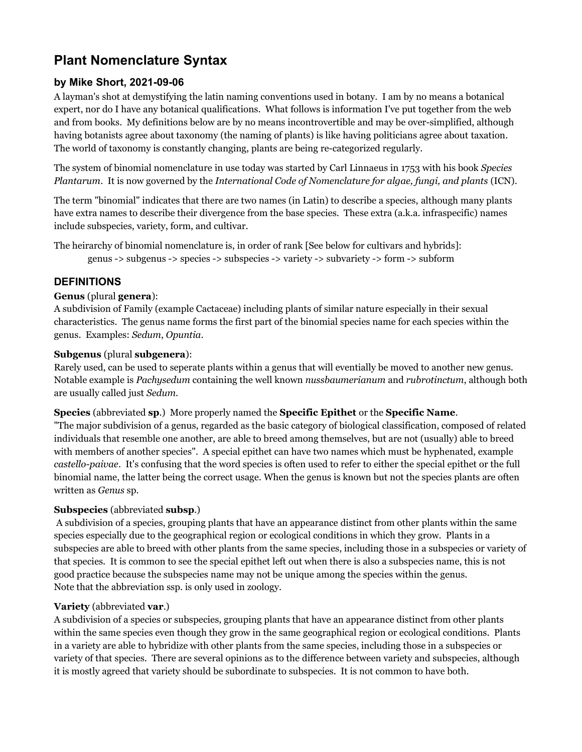# **Plant Nomenclature Syntax**

# **by Mike Short, 2021-09-06**

A layman's shot at demystifying the latin naming conventions used in botany. I am by no means a botanical expert, nor do I have any botanical qualifications. What follows is information I've put together from the web and from books. My definitions below are by no means incontrovertible and may be over-simplified, although having botanists agree about taxonomy (the naming of plants) is like having politicians agree about taxation. The world of taxonomy is constantly changing, plants are being re-categorized regularly.

The system of binomial nomenclature in use today was started by Carl Linnaeus in 1753 with his book *Species Plantarum*. It is now governed by the *International Code of Nomenclature for algae, fungi, and plants* (ICN).

The term "binomial" indicates that there are two names (in Latin) to describe a species, although many plants have extra names to describe their divergence from the base species. These extra (a.k.a. infraspecific) names include subspecies, variety, form, and cultivar.

The heirarchy of binomial nomenclature is, in order of rank [See below for cultivars and hybrids]: genus -> subgenus -> species -> subspecies -> variety -> subvariety -> form -> subform

# **DEFINITIONS**

## **Genus** (plural **genera**):

A subdivision of Family (example Cactaceae) including plants of similar nature especially in their sexual characteristics. The genus name forms the first part of the binomial species name for each species within the genus. Examples: *Sedum*, *Opuntia*.

## **Subgenus** (plural **subgenera**):

Rarely used, can be used to seperate plants within a genus that will eventially be moved to another new genus. Notable example is *Pachysedum* containing the well known *nussbaumerianum* and *rubrotinctum*, although both are usually called just *Sedum*.

## **Species** (abbreviated **sp**.) More properly named the **Specific Epithet** or the **Specific Name**.

"The major subdivision of a genus, regarded as the basic category of biological classification, composed of related individuals that resemble one another, are able to breed among themselves, but are not (usually) able to breed with members of another species". A special epithet can have two names which must be hyphenated, example *castello-paivae*. It's confusing that the word species is often used to refer to either the special epithet or the full binomial name, the latter being the correct usage. When the genus is known but not the species plants are often written as *Genus* sp.

# **Subspecies** (abbreviated **subsp**.)

 A subdivision of a species, grouping plants that have an appearance distinct from other plants within the same species especially due to the geographical region or ecological conditions in which they grow. Plants in a subspecies are able to breed with other plants from the same species, including those in a subspecies or variety of that species. It is common to see the special epithet left out when there is also a subspecies name, this is not good practice because the subspecies name may not be unique among the species within the genus. Note that the abbreviation ssp. is only used in zoology.

# **Variety** (abbreviated **var**.)

A subdivision of a species or subspecies, grouping plants that have an appearance distinct from other plants within the same species even though they grow in the same geographical region or ecological conditions. Plants in a variety are able to hybridize with other plants from the same species, including those in a subspecies or variety of that species. There are several opinions as to the difference between variety and subspecies, although it is mostly agreed that variety should be subordinate to subspecies. It is not common to have both.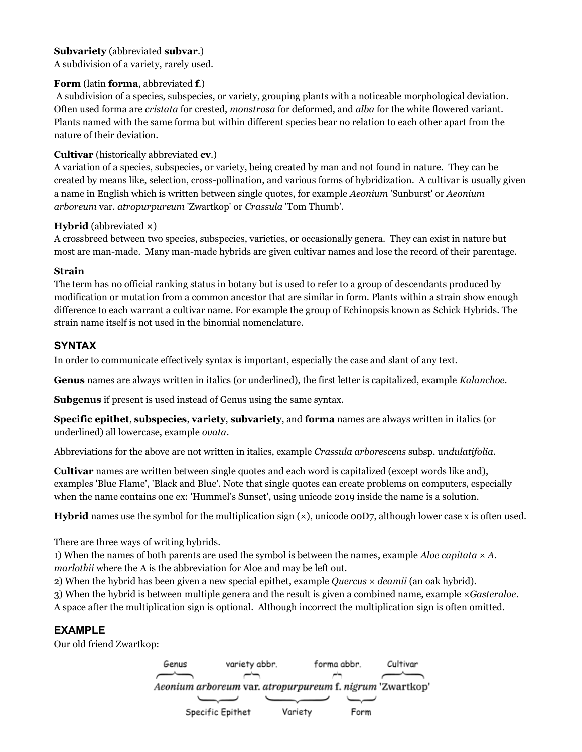#### **Subvariety** (abbreviated **subvar**.)

A subdivision of a variety, rarely used.

#### **Form** (latin **forma**, abbreviated **f**.)

 A subdivision of a species, subspecies, or variety, grouping plants with a noticeable morphological deviation. Often used forma are *cristata* for crested, *monstrosa* for deformed, and *alba* for the white flowered variant. Plants named with the same forma but within different species bear no relation to each other apart from the nature of their deviation.

#### **Cultivar** (historically abbreviated **cv**.)

A variation of a species, subspecies, or variety, being created by man and not found in nature. They can be created by means like, selection, cross-pollination, and various forms of hybridization. A cultivar is usually given a name in English which is written between single quotes, for example *Aeonium* 'Sunburst' or *Aeonium arboreum* var. *atropurpureum* 'Zwartkop' or *Crassula* 'Tom Thumb'.

#### **Hybrid** (abbreviated **×**)

A crossbreed between two species, subspecies, varieties, or occasionally genera. They can exist in nature but most are man-made. Many man-made hybrids are given cultivar names and lose the record of their parentage.

#### **Strain**

The term has no official ranking status in botany but is used to refer to a group of descendants produced by modification or mutation from a common ancestor that are similar in form. Plants within a strain show enough difference to each warrant a cultivar name. For example the group of Echinopsis known as Schick Hybrids. The strain name itself is not used in the binomial nomenclature.

# **SYNTAX**

In order to communicate effectively syntax is important, especially the case and slant of any text.

**Genus** names are always written in italics (or underlined), the first letter is capitalized, example *Kalanchoe*.

**Subgenus** if present is used instead of Genus using the same syntax.

**Specific epithet**, **subspecies**, **variety**, **subvariety**, and **forma** names are always written in italics (or underlined) all lowercase, example *ovata*.

Abbreviations for the above are not written in italics, example *Crassula arborescens* subsp. u*ndulatifolia*.

**Cultivar** names are written between single quotes and each word is capitalized (except words like and), examples 'Blue Flame', 'Black and Blue'. Note that single quotes can create problems on computers, especially when the name contains one ex: 'Hummel's Sunset', using unicode 2019 inside the name is a solution.

**Hybrid** names use the symbol for the multiplication sign ( $\times$ ), unicode 00D7, although lower case x is often used.

There are three ways of writing hybrids.

1) When the names of both parents are used the symbol is between the names, example *Aloe capitata* × *A. marlothii* where the A is the abbreviation for Aloe and may be left out.

2) When the hybrid has been given a new special epithet, example *Quercus* × *deamii* (an oak hybrid).

3) When the hybrid is between multiple genera and the result is given a combined name, example ×*Gasteraloe*. A space after the multiplication sign is optional. Although incorrect the multiplication sign is often omitted.

# **EXAMPLE**

Our old friend Zwartkop:

forma abbr. Genus Cultivar variety abbr. Aeonium arboreum var. atropurpureum f. nigrum 'Zwartkop' Specific Epithet Variety Form